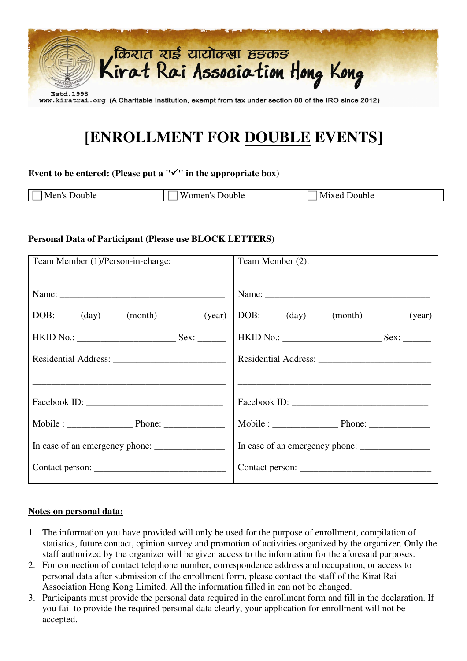

## **[ENROLLMENT FOR DOUBLE EVENTS]**

#### Event to be entered: (Please put a  $\forall$ " in the appropriate box)

| $\sim$ $\sim$ $\sim$<br>101112<br>-NP<br>וור<br>.<br>. | Jouble<br>.0r<br>$\sim$<br>W<br>. | Jouble<br>$1 \times 0$<br>n.<br>___ |
|--------------------------------------------------------|-----------------------------------|-------------------------------------|
|                                                        |                                   |                                     |

#### **Personal Data of Participant (Please use BLOCK LETTERS)**

| Team Member (1)/Person-in-charge: | Team Member (2):                                                                                                                                                                                                               |
|-----------------------------------|--------------------------------------------------------------------------------------------------------------------------------------------------------------------------------------------------------------------------------|
|                                   |                                                                                                                                                                                                                                |
|                                   |                                                                                                                                                                                                                                |
| $DOB:$ $(day)$ $(month)$ $(year)$ | $\overline{DOB:$ _____(day) ____(month)_________(year)                                                                                                                                                                         |
|                                   |                                                                                                                                                                                                                                |
|                                   |                                                                                                                                                                                                                                |
|                                   |                                                                                                                                                                                                                                |
|                                   | Facebook ID: North Contract of the Contract of the Contract of the Contract of the Contract of the Contract of the Contract of the Contract of the Contract of the Contract of the Contract of the Contract of the Contract of |
|                                   |                                                                                                                                                                                                                                |
|                                   |                                                                                                                                                                                                                                |
|                                   |                                                                                                                                                                                                                                |

#### **Notes on personal data:**

- 1. The information you have provided will only be used for the purpose of enrollment, compilation of statistics, future contact, opinion survey and promotion of activities organized by the organizer. Only the staff authorized by the organizer will be given access to the information for the aforesaid purposes.
- 2. For connection of contact telephone number, correspondence address and occupation, or access to personal data after submission of the enrollment form, please contact the staff of the Kirat Rai Association Hong Kong Limited. All the information filled in can not be changed.
- 3. Participants must provide the personal data required in the enrollment form and fill in the declaration. If you fail to provide the required personal data clearly, your application for enrollment will not be accepted.